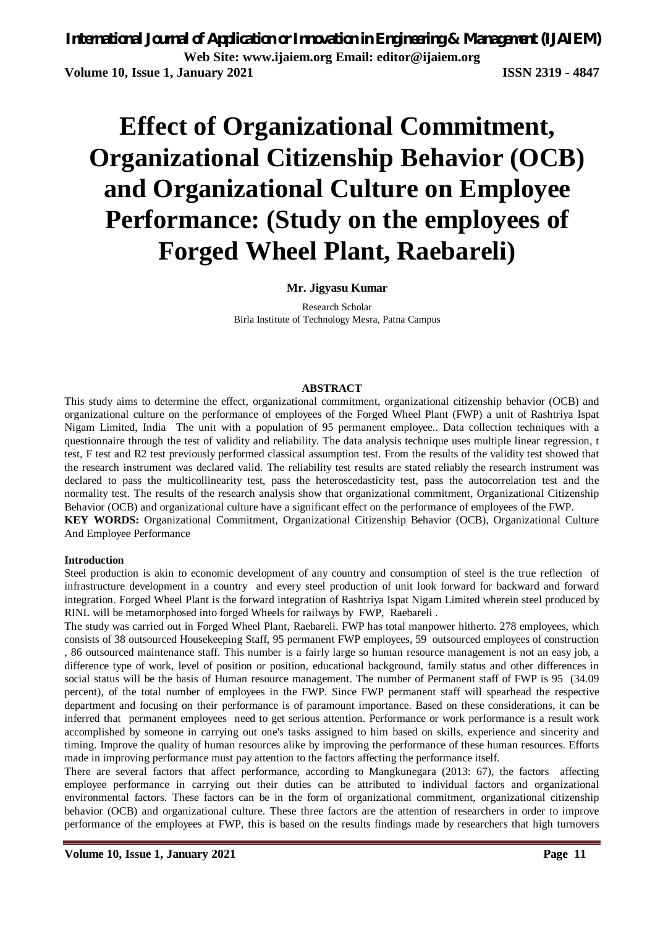*International Journal of Application or Innovation in Engineering & Management (IJAIEM)* **Web Site: www.ijaiem.org Email: editor@ijaiem.org Volume 10, Issue 1, January 2021 ISSN 2319 - 4847** 

# **Effect of Organizational Commitment, Organizational Citizenship Behavior (OCB) and Organizational Culture on Employee Performance: (Study on the employees of Forged Wheel Plant, Raebareli)**

### **Mr. Jigyasu Kumar**

Research Scholar Birla Institute of Technology Mesra, Patna Campus

#### **ABSTRACT**

This study aims to determine the effect, organizational commitment, organizational citizenship behavior (OCB) and organizational culture on the performance of employees of the Forged Wheel Plant (FWP) a unit of Rashtriya Ispat Nigam Limited, India The unit with a population of 95 permanent employee.. Data collection techniques with a questionnaire through the test of validity and reliability. The data analysis technique uses multiple linear regression, t test, F test and R2 test previously performed classical assumption test. From the results of the validity test showed that the research instrument was declared valid. The reliability test results are stated reliably the research instrument was declared to pass the multicollinearity test, pass the heteroscedasticity test, pass the autocorrelation test and the normality test. The results of the research analysis show that organizational commitment, Organizational Citizenship Behavior (OCB) and organizational culture have a significant effect on the performance of employees of the FWP.

**KEY WORDS:** Organizational Commitment, Organizational Citizenship Behavior (OCB), Organizational Culture And Employee Performance

#### **Introduction**

Steel production is akin to economic development of any country and consumption of steel is the true reflection of infrastructure development in a country and every steel production of unit look forward for backward and forward integration. Forged Wheel Plant is the forward integration of Rashtriya Ispat Nigam Limited wherein steel produced by RINL will be metamorphosed into forged Wheels for railways by FWP, Raebareli .

The study was carried out in Forged Wheel Plant, Raebareli. FWP has total manpower hitherto. 278 employees, which consists of 38 outsourced Housekeeping Staff, 95 permanent FWP employees, 59 outsourced employees of construction , 86 outsourced maintenance staff. This number is a fairly large so human resource management is not an easy job, a difference type of work, level of position or position, educational background, family status and other differences in social status will be the basis of Human resource management. The number of Permanent staff of FWP is 95 (34.09) percent), of the total number of employees in the FWP. Since FWP permanent staff will spearhead the respective department and focusing on their performance is of paramount importance. Based on these considerations, it can be inferred that permanent employees need to get serious attention. Performance or work performance is a result work accomplished by someone in carrying out one's tasks assigned to him based on skills, experience and sincerity and timing. Improve the quality of human resources alike by improving the performance of these human resources. Efforts made in improving performance must pay attention to the factors affecting the performance itself.

There are several factors that affect performance, according to Mangkunegara (2013: 67), the factors affecting employee performance in carrying out their duties can be attributed to individual factors and organizational environmental factors. These factors can be in the form of organizational commitment, organizational citizenship behavior (OCB) and organizational culture. These three factors are the attention of researchers in order to improve performance of the employees at FWP, this is based on the results findings made by researchers that high turnovers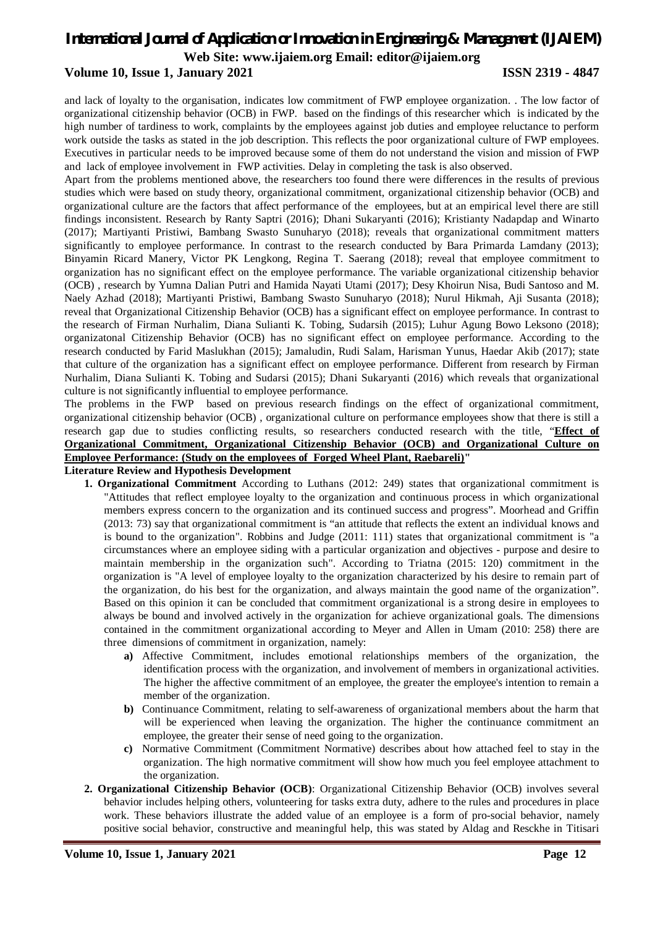### *International Journal of Application or Innovation in Engineering & Management (IJAIEM)*

**Web Site: www.ijaiem.org Email: editor@ijaiem.org**

### **Volume 10, Issue 1, January 2021 ISSN 2319 - 4847**

and lack of loyalty to the organisation, indicates low commitment of FWP employee organization. . The low factor of organizational citizenship behavior (OCB) in FWP. based on the findings of this researcher which is indicated by the high number of tardiness to work, complaints by the employees against job duties and employee reluctance to perform work outside the tasks as stated in the job description. This reflects the poor organizational culture of FWP employees. Executives in particular needs to be improved because some of them do not understand the vision and mission of FWP and lack of employee involvement in FWP activities. Delay in completing the task is also observed.

Apart from the problems mentioned above, the researchers too found there were differences in the results of previous studies which were based on study theory, organizational commitment, organizational citizenship behavior (OCB) and organizational culture are the factors that affect performance of the employees, but at an empirical level there are still findings inconsistent. Research by Ranty Saptri (2016); Dhani Sukaryanti (2016); Kristianty Nadapdap and Winarto (2017); Martiyanti Pristiwi, Bambang Swasto Sunuharyo (2018); reveals that organizational commitment matters significantly to employee performance. In contrast to the research conducted by Bara Primarda Lamdany (2013); Binyamin Ricard Manery, Victor PK Lengkong, Regina T. Saerang (2018); reveal that employee commitment to organization has no significant effect on the employee performance. The variable organizational citizenship behavior (OCB) , research by Yumna Dalian Putri and Hamida Nayati Utami (2017); Desy Khoirun Nisa, Budi Santoso and M. Naely Azhad (2018); Martiyanti Pristiwi, Bambang Swasto Sunuharyo (2018); Nurul Hikmah, Aji Susanta (2018); reveal that Organizational Citizenship Behavior (OCB) has a significant effect on employee performance. In contrast to the research of Firman Nurhalim, Diana Sulianti K. Tobing, Sudarsih (2015); Luhur Agung Bowo Leksono (2018); organizatonal Citizenship Behavior (OCB) has no significant effect on employee performance. According to the research conducted by Farid Maslukhan (2015); Jamaludin, Rudi Salam, Harisman Yunus, Haedar Akib (2017); state that culture of the organization has a significant effect on employee performance. Different from research by Firman Nurhalim, Diana Sulianti K. Tobing and Sudarsi (2015); Dhani Sukaryanti (2016) which reveals that organizational culture is not significantly influential to employee performance.

The problems in the FWP based on previous research findings on the effect of organizational commitment, organizational citizenship behavior (OCB) , organizational culture on performance employees show that there is still a research gap due to studies conflicting results, so researchers conducted research with the title, "**Effect of Organizational Commitment, Organizational Citizenship Behavior (OCB) and Organizational Culture on Employee Performance: (Study on the employees of Forged Wheel Plant, Raebareli)"**

### **Literature Review and Hypothesis Development**

- **1. Organizational Commitment** According to Luthans (2012: 249) states that organizational commitment is "Attitudes that reflect employee loyalty to the organization and continuous process in which organizational members express concern to the organization and its continued success and progress". Moorhead and Griffin (2013: 73) say that organizational commitment is "an attitude that reflects the extent an individual knows and is bound to the organization". Robbins and Judge (2011: 111) states that organizational commitment is "a circumstances where an employee siding with a particular organization and objectives - purpose and desire to maintain membership in the organization such". According to Triatna (2015: 120) commitment in the organization is "A level of employee loyalty to the organization characterized by his desire to remain part of the organization, do his best for the organization, and always maintain the good name of the organization". Based on this opinion it can be concluded that commitment organizational is a strong desire in employees to always be bound and involved actively in the organization for achieve organizational goals. The dimensions contained in the commitment organizational according to Meyer and Allen in Umam (2010: 258) there are three dimensions of commitment in organization, namely:
	- **a)** Affective Commitment, includes emotional relationships members of the organization, the identification process with the organization, and involvement of members in organizational activities. The higher the affective commitment of an employee, the greater the employee's intention to remain a member of the organization.
	- **b)** Continuance Commitment, relating to self-awareness of organizational members about the harm that will be experienced when leaving the organization. The higher the continuance commitment an employee, the greater their sense of need going to the organization.
	- **c)** Normative Commitment (Commitment Normative) describes about how attached feel to stay in the organization. The high normative commitment will show how much you feel employee attachment to the organization.
- **2. Organizational Citizenship Behavior (OCB)**: Organizational Citizenship Behavior (OCB) involves several behavior includes helping others, volunteering for tasks extra duty, adhere to the rules and procedures in place work. These behaviors illustrate the added value of an employee is a form of pro-social behavior, namely positive social behavior, constructive and meaningful help, this was stated by Aldag and Resckhe in Titisari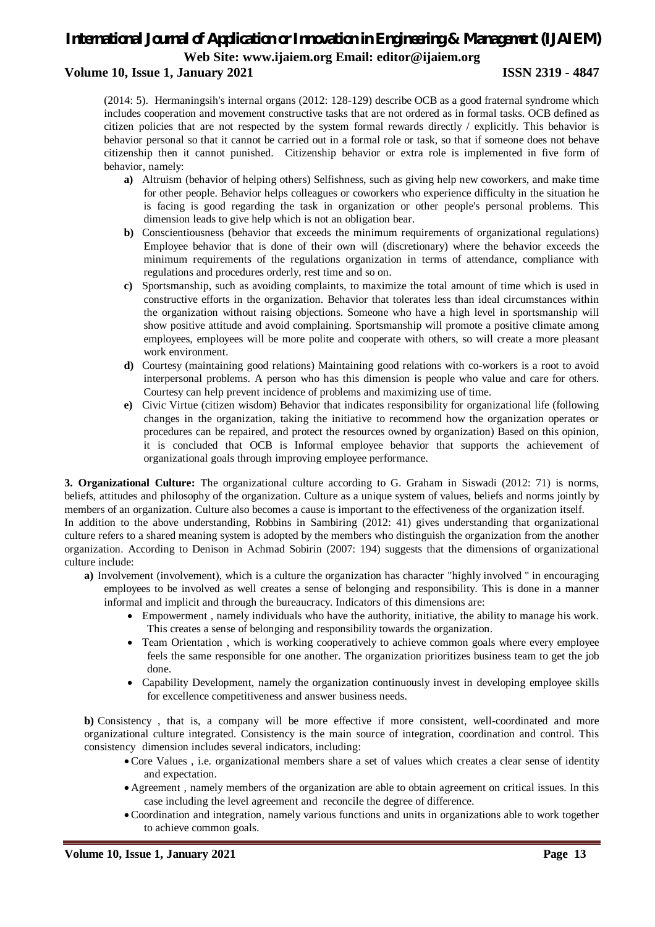### **Volume 10, Issue 1, January 2021 ISSN 2319 - 4847**

(2014: 5). Hermaningsih's internal organs (2012: 128-129) describe OCB as a good fraternal syndrome which includes cooperation and movement constructive tasks that are not ordered as in formal tasks. OCB defined as citizen policies that are not respected by the system formal rewards directly / explicitly. This behavior is behavior personal so that it cannot be carried out in a formal role or task, so that if someone does not behave citizenship then it cannot punished. Citizenship behavior or extra role is implemented in five form of behavior, namely:

- **a)** Altruism (behavior of helping others) Selfishness, such as giving help new coworkers, and make time for other people. Behavior helps colleagues or coworkers who experience difficulty in the situation he is facing is good regarding the task in organization or other people's personal problems. This dimension leads to give help which is not an obligation bear.
- **b)** Conscientiousness (behavior that exceeds the minimum requirements of organizational regulations) Employee behavior that is done of their own will (discretionary) where the behavior exceeds the minimum requirements of the regulations organization in terms of attendance, compliance with regulations and procedures orderly, rest time and so on.
- **c)** Sportsmanship, such as avoiding complaints, to maximize the total amount of time which is used in constructive efforts in the organization. Behavior that tolerates less than ideal circumstances within the organization without raising objections. Someone who have a high level in sportsmanship will show positive attitude and avoid complaining. Sportsmanship will promote a positive climate among employees, employees will be more polite and cooperate with others, so will create a more pleasant work environment.
- **d)** Courtesy (maintaining good relations) Maintaining good relations with co-workers is a root to avoid interpersonal problems. A person who has this dimension is people who value and care for others. Courtesy can help prevent incidence of problems and maximizing use of time.
- **e)** Civic Virtue (citizen wisdom) Behavior that indicates responsibility for organizational life (following changes in the organization, taking the initiative to recommend how the organization operates or procedures can be repaired, and protect the resources owned by organization) Based on this opinion, it is concluded that OCB is Informal employee behavior that supports the achievement of organizational goals through improving employee performance.

**3. Organizational Culture:** The organizational culture according to G. Graham in Siswadi (2012: 71) is norms, beliefs, attitudes and philosophy of the organization. Culture as a unique system of values, beliefs and norms jointly by members of an organization. Culture also becomes a cause is important to the effectiveness of the organization itself.

In addition to the above understanding, Robbins in Sambiring (2012: 41) gives understanding that organizational culture refers to a shared meaning system is adopted by the members who distinguish the organization from the another organization. According to Denison in Achmad Sobirin (2007: 194) suggests that the dimensions of organizational culture include:

- **a)** Involvement (involvement), which is a culture the organization has character "highly involved " in encouraging employees to be involved as well creates a sense of belonging and responsibility. This is done in a manner informal and implicit and through the bureaucracy. Indicators of this dimensions are:
	- Empowerment , namely individuals who have the authority, initiative, the ability to manage his work. This creates a sense of belonging and responsibility towards the organization.
	- Team Orientation, which is working cooperatively to achieve common goals where every employee feels the same responsible for one another. The organization prioritizes business team to get the job done.
	- Capability Development, namely the organization continuously invest in developing employee skills for excellence competitiveness and answer business needs.

**b**) Consistency, that is, a company will be more effective if more consistent, well-coordinated and more organizational culture integrated. Consistency is the main source of integration, coordination and control. This consistency dimension includes several indicators, including:

- Core Values , i.e. organizational members share a set of values which creates a clear sense of identity and expectation.
- Agreement , namely members of the organization are able to obtain agreement on critical issues. In this case including the level agreement and reconcile the degree of difference.
- Coordination and integration, namely various functions and units in organizations able to work together to achieve common goals.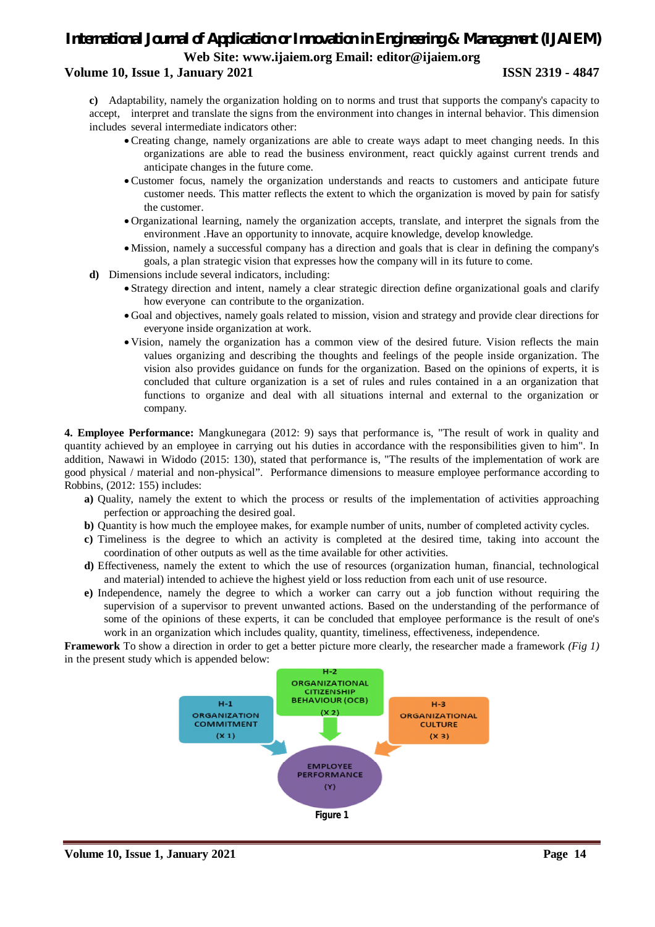### **Volume 10, Issue 1, January 2021 ISSN 2319 - 4847**

**c)** Adaptability, namely the organization holding on to norms and trust that supports the company's capacity to accept, interpret and translate the signs from the environment into changes in internal behavior. This dimension includes several intermediate indicators other:

- Creating change, namely organizations are able to create ways adapt to meet changing needs. In this organizations are able to read the business environment, react quickly against current trends and anticipate changes in the future come.
- Customer focus, namely the organization understands and reacts to customers and anticipate future customer needs. This matter reflects the extent to which the organization is moved by pain for satisfy the customer.
- Organizational learning, namely the organization accepts, translate, and interpret the signals from the environment .Have an opportunity to innovate, acquire knowledge, develop knowledge.
- Mission, namely a successful company has a direction and goals that is clear in defining the company's goals, a plan strategic vision that expresses how the company will in its future to come.
- **d)** Dimensions include several indicators, including:
	- Strategy direction and intent, namely a clear strategic direction define organizational goals and clarify how everyone can contribute to the organization.
	- Goal and objectives, namely goals related to mission, vision and strategy and provide clear directions for everyone inside organization at work.
	- Vision, namely the organization has a common view of the desired future. Vision reflects the main values organizing and describing the thoughts and feelings of the people inside organization. The vision also provides guidance on funds for the organization. Based on the opinions of experts, it is concluded that culture organization is a set of rules and rules contained in a an organization that functions to organize and deal with all situations internal and external to the organization or company.

**4. Employee Performance:** Mangkunegara (2012: 9) says that performance is, "The result of work in quality and quantity achieved by an employee in carrying out his duties in accordance with the responsibilities given to him". In addition, Nawawi in Widodo (2015: 130), stated that performance is, "The results of the implementation of work are good physical / material and non-physical". Performance dimensions to measure employee performance according to Robbins, (2012: 155) includes:

- **a)** Quality, namely the extent to which the process or results of the implementation of activities approaching perfection or approaching the desired goal.
- **b**) Quantity is how much the employee makes, for example number of units, number of completed activity cycles.
- **c)** Timeliness is the degree to which an activity is completed at the desired time, taking into account the coordination of other outputs as well as the time available for other activities.
- **d)** Effectiveness, namely the extent to which the use of resources (organization human, financial, technological and material) intended to achieve the highest yield or loss reduction from each unit of use resource.
- **e)** Independence, namely the degree to which a worker can carry out a job function without requiring the supervision of a supervisor to prevent unwanted actions. Based on the understanding of the performance of some of the opinions of these experts, it can be concluded that employee performance is the result of one's work in an organization which includes quality, quantity, timeliness, effectiveness, independence.

**Framework** To show a direction in order to get a better picture more clearly, the researcher made a framework *(Fig 1)* in the present study which is appended below:

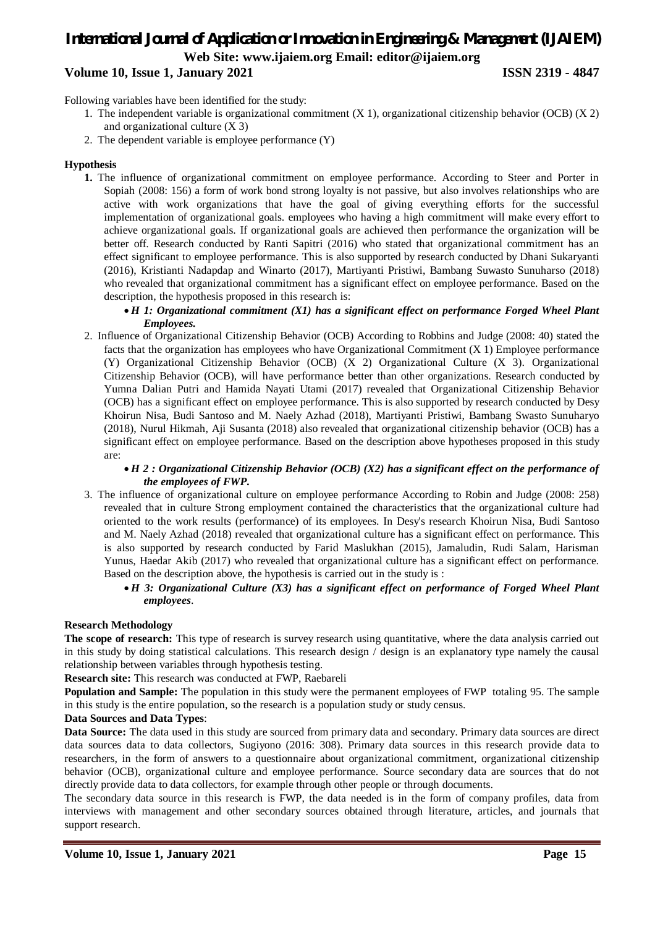### *International Journal of Application or Innovation in Engineering & Management (IJAIEM)* **Web Site: www.ijaiem.org Email: editor@ijaiem.org Volume 10, Issue 1, January 2021 ISSN 2319 - 4847**

Following variables have been identified for the study:

- 1. The independent variable is organizational commitment (X 1), organizational citizenship behavior (OCB) (X 2) and organizational culture (X 3)
- 2. The dependent variable is employee performance (Y)

### **Hypothesis**

**1.** The influence of organizational commitment on employee performance. According to Steer and Porter in Sopiah (2008: 156) a form of work bond strong loyalty is not passive, but also involves relationships who are active with work organizations that have the goal of giving everything efforts for the successful implementation of organizational goals. employees who having a high commitment will make every effort to achieve organizational goals. If organizational goals are achieved then performance the organization will be better off. Research conducted by Ranti Sapitri (2016) who stated that organizational commitment has an effect significant to employee performance. This is also supported by research conducted by Dhani Sukaryanti (2016), Kristianti Nadapdap and Winarto (2017), Martiyanti Pristiwi, Bambang Suwasto Sunuharso (2018) who revealed that organizational commitment has a significant effect on employee performance. Based on the description, the hypothesis proposed in this research is:

### *H 1: Organizational commitment (X1) has a significant effect on performance Forged Wheel Plant Employees.*

2. Influence of Organizational Citizenship Behavior (OCB) According to Robbins and Judge (2008: 40) stated the facts that the organization has employees who have Organizational Commitment (X 1) Employee performance (Y) Organizational Citizenship Behavior (OCB) (X 2) Organizational Culture (X 3). Organizational Citizenship Behavior (OCB), will have performance better than other organizations. Research conducted by Yumna Dalian Putri and Hamida Nayati Utami (2017) revealed that Organizational Citizenship Behavior (OCB) has a significant effect on employee performance. This is also supported by research conducted by Desy Khoirun Nisa, Budi Santoso and M. Naely Azhad (2018), Martiyanti Pristiwi, Bambang Swasto Sunuharyo (2018), Nurul Hikmah, Aji Susanta (2018) also revealed that organizational citizenship behavior (OCB) has a significant effect on employee performance. Based on the description above hypotheses proposed in this study are:

### *H 2 : Organizational Citizenship Behavior (OCB) (X2) has a significant effect on the performance of the employees of FWP.*

3. The influence of organizational culture on employee performance According to Robin and Judge (2008: 258) revealed that in culture Strong employment contained the characteristics that the organizational culture had oriented to the work results (performance) of its employees. In Desy's research Khoirun Nisa, Budi Santoso and M. Naely Azhad (2018) revealed that organizational culture has a significant effect on performance. This is also supported by research conducted by Farid Maslukhan (2015), Jamaludin, Rudi Salam, Harisman Yunus, Haedar Akib (2017) who revealed that organizational culture has a significant effect on performance. Based on the description above, the hypothesis is carried out in the study is :

### *H 3: Organizational Culture (X3) has a significant effect on performance of Forged Wheel Plant employees*.

### **Research Methodology**

**The scope of research:** This type of research is survey research using quantitative, where the data analysis carried out in this study by doing statistical calculations. This research design / design is an explanatory type namely the causal relationship between variables through hypothesis testing.

**Research site:** This research was conducted at FWP, Raebareli

**Population and Sample:** The population in this study were the permanent employees of FWP totaling 95. The sample in this study is the entire population, so the research is a population study or study census.

### **Data Sources and Data Types**:

**Data Source:** The data used in this study are sourced from primary data and secondary. Primary data sources are direct data sources data to data collectors, Sugiyono (2016: 308). Primary data sources in this research provide data to researchers, in the form of answers to a questionnaire about organizational commitment, organizational citizenship behavior (OCB), organizational culture and employee performance. Source secondary data are sources that do not directly provide data to data collectors, for example through other people or through documents.

The secondary data source in this research is FWP, the data needed is in the form of company profiles, data from interviews with management and other secondary sources obtained through literature, articles, and journals that support research.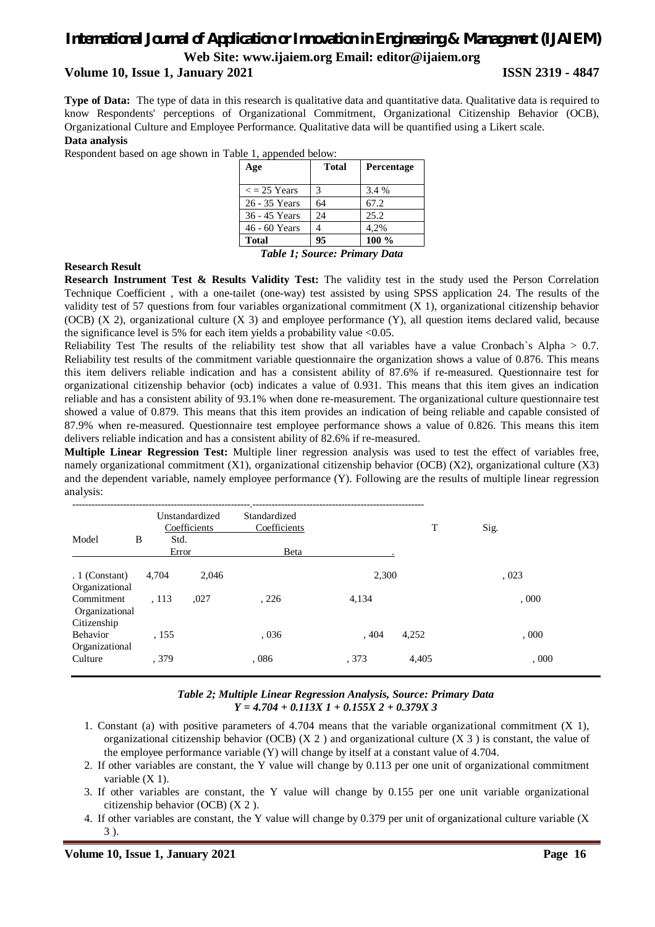### *International Journal of Application or Innovation in Engineering & Management (IJAIEM)*

**Web Site: www.ijaiem.org Email: editor@ijaiem.org**

### **Volume 10, Issue 1, January 2021 ISSN 2319 - 4847**

**Type of Data:** The type of data in this research is qualitative data and quantitative data. Qualitative data is required to know Respondents' perceptions of Organizational Commitment, Organizational Citizenship Behavior (OCB), Organizational Culture and Employee Performance. Qualitative data will be quantified using a Likert scale. **Data analysis**

Respondent based on age shown in Table 1, appended below:

| Age                           | <b>Total</b> | Percentage |  |  |  |  |
|-------------------------------|--------------|------------|--|--|--|--|
| $\epsilon$ = 25 Years         | 3            | 3.4 %      |  |  |  |  |
| 26 - 35 Years                 | 64           | 67.2       |  |  |  |  |
| 36 - 45 Years                 | 24           | 25.2       |  |  |  |  |
| 46 - 60 Years                 |              | 4.2%       |  |  |  |  |
| <b>Total</b>                  | 95           | $100\%$    |  |  |  |  |
| Table 1; Source: Primary Data |              |            |  |  |  |  |

#### **Research Result**

**Research Instrument Test & Results Validity Test:** The validity test in the study used the Person Correlation Technique Coefficient , with a one-tailet (one-way) test assisted by using SPSS application 24. The results of the validity test of 57 questions from four variables organizational commitment (X 1), organizational citizenship behavior (OCB) (X 2), organizational culture (X 3) and employee performance (Y), all question items declared valid, because the significance level is 5% for each item yields a probability value  $< 0.05$ .

Reliability Test The results of the reliability test show that all variables have a value Cronbach`s Alpha > 0.7. Reliability test results of the commitment variable questionnaire the organization shows a value of 0.876. This means this item delivers reliable indication and has a consistent ability of 87.6% if re-measured. Questionnaire test for organizational citizenship behavior (ocb) indicates a value of 0.931. This means that this item gives an indication reliable and has a consistent ability of 93.1% when done re-measurement. The organizational culture questionnaire test showed a value of 0.879. This means that this item provides an indication of being reliable and capable consisted of 87.9% when re-measured. Questionnaire test employee performance shows a value of 0.826. This means this item delivers reliable indication and has a consistent ability of 82.6% if re-measured.

**Multiple Linear Regression Test:** Multiple liner regression analysis was used to test the effect of variables free, namely organizational commitment (X1), organizational citizenship behavior (OCB) (X2), organizational culture (X3) and the dependent variable, namely employee performance (Y). Following are the results of multiple linear regression analysis:

|                                             |   |       | Unstandardized<br>Coefficients | Standardized<br>Coefficients |       | T     | Sig. |
|---------------------------------------------|---|-------|--------------------------------|------------------------------|-------|-------|------|
| Model                                       | B | Std.  |                                |                              |       |       |      |
|                                             |   |       | Error                          | Beta                         |       |       |      |
| $.1$ (Constant)<br>Organizational           |   | 4,704 | 2.046                          |                              | 2,300 |       | ,023 |
| Commitment<br>Organizational<br>Citizenship |   | .113  | .027                           | , 226                        | 4,134 |       | .000 |
| <b>Behavior</b><br>Organizational           |   | , 155 |                                | ,036                         | , 404 | 4,252 | .000 |
| Culture                                     |   | . 379 |                                | ,086                         | . 373 | 4,405 | .000 |

### *Table 2; Multiple Linear Regression Analysis, Source: Primary Data Y = 4.704 + 0.113X 1 + 0.155X 2 + 0.379X 3*

- 1. Constant (a) with positive parameters of 4.704 means that the variable organizational commitment (X 1), organizational citizenship behavior (OCB)  $(X 2)$  and organizational culture  $(X 3)$  is constant, the value of the employee performance variable (Y) will change by itself at a constant value of 4.704.
- 2. If other variables are constant, the Y value will change by 0.113 per one unit of organizational commitment variable  $(X 1)$ .
- 3. If other variables are constant, the Y value will change by 0.155 per one unit variable organizational citizenship behavior (OCB) (X 2 ).
- 4. If other variables are constant, the Y value will change by 0.379 per unit of organizational culture variable (X 3 ).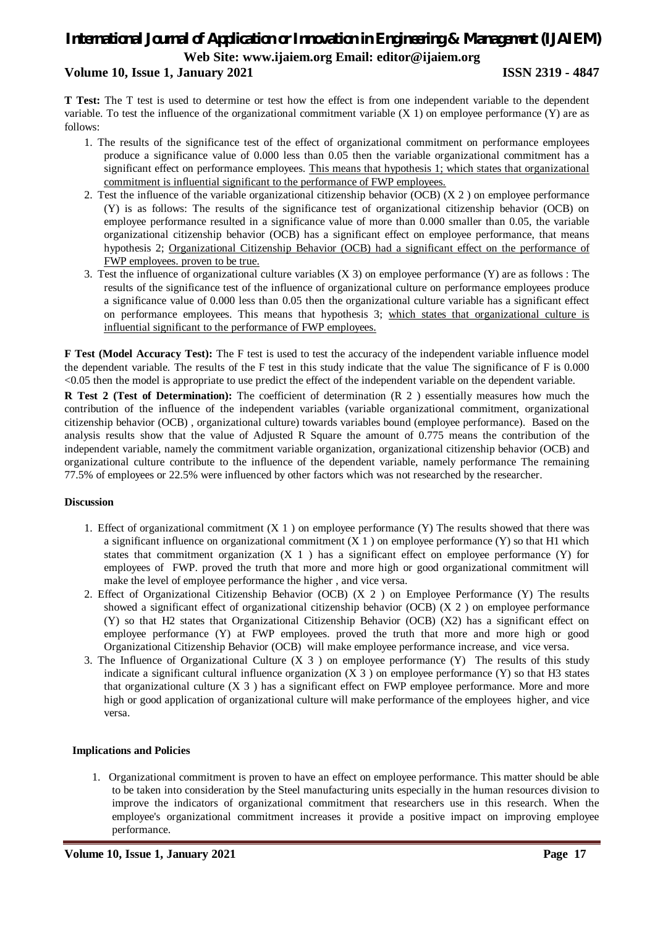### **Volume 10, Issue 1, January 2021 ISSN 2319 - 4847**

**T Test:** The T test is used to determine or test how the effect is from one independent variable to the dependent variable. To test the influence of the organizational commitment variable  $(X 1)$  on employee performance  $(Y)$  are as follows:

- 1. The results of the significance test of the effect of organizational commitment on performance employees produce a significance value of 0.000 less than 0.05 then the variable organizational commitment has a significant effect on performance employees. This means that hypothesis 1; which states that organizational commitment is influential significant to the performance of FWP employees.
- 2. Test the influence of the variable organizational citizenship behavior (OCB) (X 2 ) on employee performance (Y) is as follows: The results of the significance test of organizational citizenship behavior (OCB) on employee performance resulted in a significance value of more than 0.000 smaller than 0.05, the variable organizational citizenship behavior (OCB) has a significant effect on employee performance, that means hypothesis 2; Organizational Citizenship Behavior (OCB) had a significant effect on the performance of FWP employees. proven to be true.
- 3. Test the influence of organizational culture variables (X 3) on employee performance (Y) are as follows : The results of the significance test of the influence of organizational culture on performance employees produce a significance value of 0.000 less than 0.05 then the organizational culture variable has a significant effect on performance employees. This means that hypothesis 3; which states that organizational culture is influential significant to the performance of FWP employees.

**F Test (Model Accuracy Test):** The F test is used to test the accuracy of the independent variable influence model the dependent variable. The results of the F test in this study indicate that the value The significance of F is 0.000 <0.05 then the model is appropriate to use predict the effect of the independent variable on the dependent variable.

**R Test 2 (Test of Determination):** The coefficient of determination (R 2) essentially measures how much the contribution of the influence of the independent variables (variable organizational commitment, organizational citizenship behavior (OCB) , organizational culture) towards variables bound (employee performance). Based on the analysis results show that the value of Adjusted R Square the amount of 0.775 means the contribution of the independent variable, namely the commitment variable organization, organizational citizenship behavior (OCB) and organizational culture contribute to the influence of the dependent variable, namely performance The remaining 77.5% of employees or 22.5% were influenced by other factors which was not researched by the researcher.

### **Discussion**

- 1. Effect of organizational commitment  $(X 1)$  on employee performance  $(Y)$  The results showed that there was a significant influence on organizational commitment  $(X 1)$  on employee performance  $(Y)$  so that H1 which states that commitment organization  $(X 1)$  has a significant effect on employee performance  $(Y)$  for employees of FWP. proved the truth that more and more high or good organizational commitment will make the level of employee performance the higher , and vice versa.
- 2. Effect of Organizational Citizenship Behavior (OCB) (X 2 ) on Employee Performance (Y) The results showed a significant effect of organizational citizenship behavior (OCB) (X 2 ) on employee performance (Y) so that H2 states that Organizational Citizenship Behavior (OCB) (X2) has a significant effect on employee performance (Y) at FWP employees. proved the truth that more and more high or good Organizational Citizenship Behavior (OCB) will make employee performance increase, and vice versa.
- 3. The Influence of Organizational Culture (X 3 ) on employee performance (Y) The results of this study indicate a significant cultural influence organization  $(X 3)$  on employee performance  $(Y)$  so that H3 states that organizational culture  $(X 3)$  has a significant effect on FWP employee performance. More and more high or good application of organizational culture will make performance of the employees higher, and vice versa.

### **Implications and Policies**

1. Organizational commitment is proven to have an effect on employee performance. This matter should be able to be taken into consideration by the Steel manufacturing units especially in the human resources division to improve the indicators of organizational commitment that researchers use in this research. When the employee's organizational commitment increases it provide a positive impact on improving employee performance.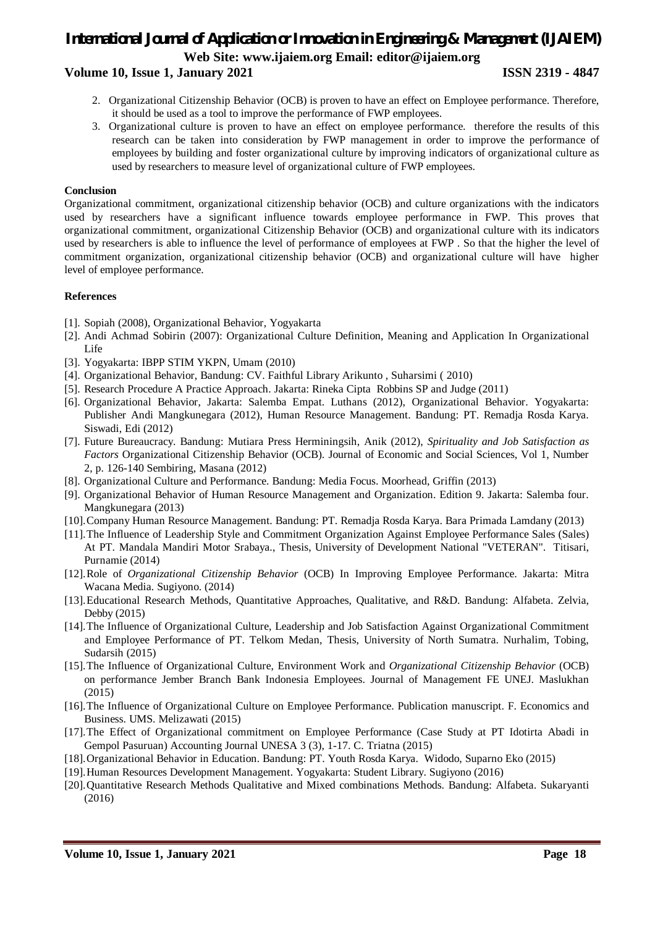### **Volume 10, Issue 1, January 2021 ISSN 2319 - 4847**

- 2. Organizational Citizenship Behavior (OCB) is proven to have an effect on Employee performance. Therefore, it should be used as a tool to improve the performance of FWP employees.
- 3. Organizational culture is proven to have an effect on employee performance. therefore the results of this research can be taken into consideration by FWP management in order to improve the performance of employees by building and foster organizational culture by improving indicators of organizational culture as used by researchers to measure level of organizational culture of FWP employees.

### **Conclusion**

Organizational commitment, organizational citizenship behavior (OCB) and culture organizations with the indicators used by researchers have a significant influence towards employee performance in FWP. This proves that organizational commitment, organizational Citizenship Behavior (OCB) and organizational culture with its indicators used by researchers is able to influence the level of performance of employees at FWP . So that the higher the level of commitment organization, organizational citizenship behavior (OCB) and organizational culture will have higher level of employee performance.

### **References**

- [1]. Sopiah (2008), Organizational Behavior, Yogyakarta
- [2]. Andi Achmad Sobirin (2007): Organizational Culture Definition, Meaning and Application In Organizational Life
- [3]. Yogyakarta: IBPP STIM YKPN, Umam (2010)
- [4]. Organizational Behavior, Bandung: CV. Faithful Library Arikunto , Suharsimi ( 2010)
- [5]. Research Procedure A Practice Approach. Jakarta: Rineka Cipta Robbins SP and Judge (2011)
- [6]. Organizational Behavior, Jakarta: Salemba Empat. Luthans (2012), Organizational Behavior. Yogyakarta: Publisher Andi Mangkunegara (2012), Human Resource Management. Bandung: PT. Remadja Rosda Karya. Siswadi, Edi (2012)
- [7]. Future Bureaucracy. Bandung: Mutiara Press Herminingsih, Anik (2012), *Spirituality and Job Satisfaction as Factors* Organizational Citizenship Behavior (OCB). Journal of Economic and Social Sciences, Vol 1, Number 2, p. 126-140 Sembiring, Masana (2012)
- [8]. Organizational Culture and Performance. Bandung: Media Focus. Moorhead, Griffin (2013)
- [9]. Organizational Behavior of Human Resource Management and Organization. Edition 9. Jakarta: Salemba four. Mangkunegara (2013)
- [10].Company Human Resource Management. Bandung: PT. Remadja Rosda Karya. Bara Primada Lamdany (2013)
- [11].The Influence of Leadership Style and Commitment Organization Against Employee Performance Sales (Sales) At PT. Mandala Mandiri Motor Srabaya., Thesis, University of Development National "VETERAN". Titisari, Purnamie (2014)
- [12].Role of *Organizational Citizenship Behavior* (OCB) In Improving Employee Performance. Jakarta: Mitra Wacana Media. Sugiyono. (2014)
- [13].Educational Research Methods, Quantitative Approaches, Qualitative, and R&D. Bandung: Alfabeta. Zelvia, Debby (2015)
- [14].The Influence of Organizational Culture, Leadership and Job Satisfaction Against Organizational Commitment and Employee Performance of PT. Telkom Medan, Thesis, University of North Sumatra. Nurhalim, Tobing, Sudarsih (2015)
- [15].The Influence of Organizational Culture, Environment Work and *Organizational Citizenship Behavior* (OCB) on performance Jember Branch Bank Indonesia Employees. Journal of Management FE UNEJ. Maslukhan (2015)
- [16].The Influence of Organizational Culture on Employee Performance. Publication manuscript. F. Economics and Business. UMS. Melizawati (2015)
- [17].The Effect of Organizational commitment on Employee Performance (Case Study at PT Idotirta Abadi in Gempol Pasuruan) Accounting Journal UNESA 3 (3), 1-17. C. Triatna (2015)
- [18].Organizational Behavior in Education. Bandung: PT. Youth Rosda Karya. Widodo, Suparno Eko (2015)
- [19].Human Resources Development Management. Yogyakarta: Student Library. Sugiyono (2016)
- [20].Quantitative Research Methods Qualitative and Mixed combinations Methods. Bandung: Alfabeta. Sukaryanti (2016)